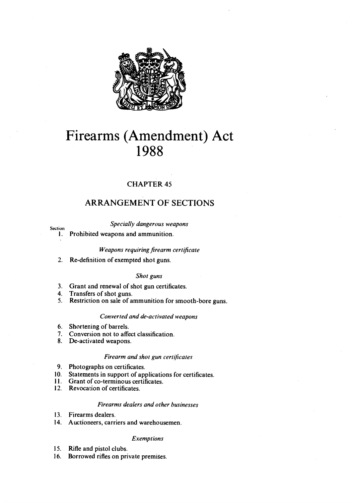

# Firearms (Amendment) Act 1988

# CHAPTER 45

# ARRANGEMENT OF SECTIONS

Section

### Specially dangerous weapons

I. Prohibited weapons and ammunition.

# Weapons requiring firearm certificate

2. Re-definition of exempted shot guns.

### Shot guns

- 3. Grant and renewal of shot gun certificates.
- 4. Transfers of shot guns.
- 5. Restriction on sale of ammunition for smooth-bore guns.

## Converted and de-activated weapons

- 6. Shortening of barrels.
- 7. Conversion not to affect classification.
- 8. De-activated weapons.

# Firearm and shot gun certificates

- 9. Photographs on certificates.
- 10. Statements in support of applications for certificates.<br>11. Grant of co-terminous certificates.
- Grant of co-terminous certificates.
- 12. Revocation of certificates.

# Firearms dealers and other businesses

- 13. Firearms dealers.
- 14. Auctioneers, carriers and warehousemen.

### Exemptions

- 15. Rifle and pistol clubs.
- 16. Borrowed rifles on private premises.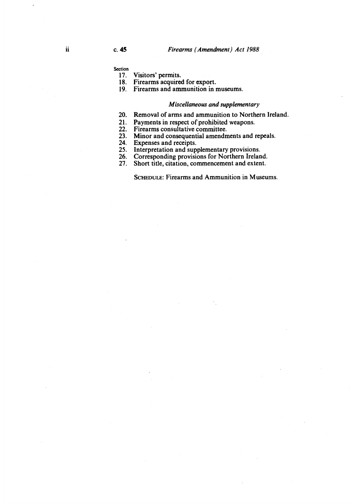Section

17. Visitors' permits.<br>18. Firearms acquired Firearms acquired for export.

19. Firearms and ammunition in museums.

## Miscellaneous and supplementary

20. Removal of arms and ammunition to Northern Ireland.<br>21. Payments in respect of prohibited weapons.

21. Payments in respect of prohibited weapons.<br>22. Firearms consultative committee.

22. Firearms consultative committee.<br>23. Minor and consequential amendm 23. Minor and consequential amendments and repeals.<br>24. Expenses and receipts.

24. Expenses and receipts.<br>25. Interpretation and sup-

25. Interpretation and supplementary provisions.<br>26. Corresponding provisions for Northern Irelan

26. Corresponding provisions for Northern Ireland.<br>27. Short title, citation, commencement and extent. Short title, citation, commencement and extent.

SCHEDULE: Firearms and Ammunition in Museums.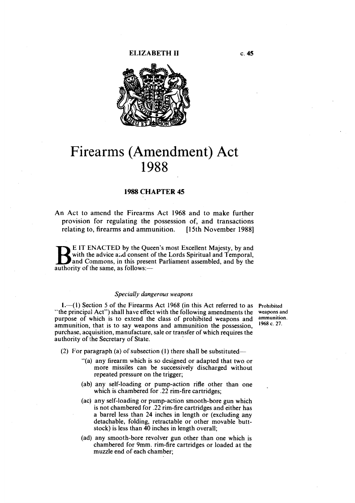

# Firearms (Amendment) Act 1988

# 1988 CHAPTER 45

An Act to amend the Firearms Act 1968 and to make further provision for regulating the possession of, and transactions relating to, firearms and ammunition. [15th November 1988]

**BUT ENACTED by the Queen's most Excellent Majesty, by and with the advice and consent of the Lords Spiritual and Temporal, and Commons, in this present Parliament assembled, and by the authority of the same. as follows:** with the advice and consent of the Lords Spiritual and Temporal, and Commons, in this present Parliament assembled, and by the authority of the same, as follows:—

## Specially dangerous weapons

1.—(1) Section 5 of the Firearms Act 1968 (in this Act referred to as Prohibited be principal Act'') shall have effect with the following amendments the weapons and "the principal Act") shall have effect with the following amendments the weapons and<br>nurnose of which is to extend the class of probibited weapons and ammunition. purpose of which is to extend the class of prohibited weapons and ammunition that is to say weapons and ammunition the persension 1968 c. 27. ammunition, that is to say weapons and ammunition the possession, purchase, acquisition, manufacture, sale or transfer of which requires the authority of the Secretary of State.

- (2) For paragraph (a) of subsection (I) there shall be substituted—
	- "(a) any firearm which is so designed or adapted that two or more missiles can be successively discharged without repeated pressure on the trigger;
	- (ab) any self-loading or pump-action rifle other than one which is chambered for .22 rim-fire cartridges;
	- (ac) any self-loading or pump-action smooth-bore gun which is not chambered for .22 rim-fire cartridges and either has a barrel less than 24 inches in length or (excluding any detachable, folding, retractable or other movable buttstock) is less than 40 inches in length overall;
	- (ad) any smooth-bore revolver gun other than one which is chambered for 9mm. rim-fire cartridges or loaded at the muzzle end of each chamber;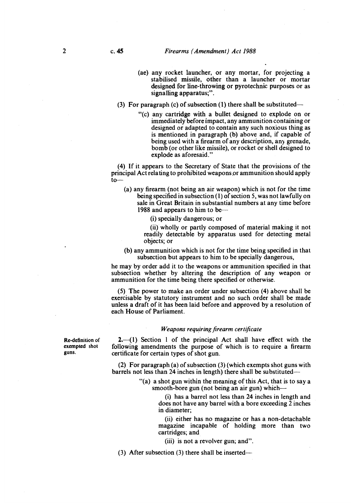- (ae) any rocket launcher, or any mortar, for projecting a stabilised missile, other than a launcher or mortar designed for line-throwing or pyrotechnic purposes or as signalling apparatus;".
- (3) For paragraph (c) of subsection (I) there shall be substituted—
	- "(c) any cartridge with a bullet designed to explode on or immediately before impact, any ammunition containing or designed or adapted to contain any such noxious thing as is mentioned in paragraph (b) above and, if capable of being used with a firearm of any description, any grenade, bomb (or other like missile), or rocket or shell designed to explode as aforesaid."

(4) If it appears to the Secretary of State that the provisions of the principal Act relating to prohibited weapons ør ammunition should apply to-

(a) any firearm (not being an air weapon) which is not for the time being specified in subsection (1) of section 5, was not lawfully on sale in Great Britain in substantial numbers at any time before 1988 and appears to him to be—

(i) specially dangerous; or

(ii) wholly or partly composed of material making it not readily detectable by apparatus used for detecting metal objects; or

(b) any ammunition which is not for the time being specified in that subsection but appears to him to be specially dangerous,

he may by order add it to the weapons or ammunition specified in that subsection whether by altering the description of any weapon or ammunition for the time being there specified or otherwise.

(5) The power to make an order under subsection (4) above shall be exercisable by statutory instrument and no such order shall be made unless a draft of it has been laid before and approved by a resolution of each House of Parliament.

### Weapons requiring firearm certificate

Re-definition of 2.—(1) Section 1 of the principal Act shall have effect with the exempted shot following amendments the purpose of which is to require a firearm exempted shot following amendments the purpose of which is to require a firearm guns. certificate for certain types of shot gun.

> (2) For paragraph (a) of subsection (3) (which exempts shot guns with barrels not less than 24 inches in length) there shall be substituted—

> > "(a) a shot gun within the meaning of this Act, that is to say a smooth-bore gun (not being an air gun) which—

> > > (i) has a barrel not less than 24 inches in length and does not have any barrel with a bore exceeding  $\overline{2}$  inches in diameter;

> > > (ii) either has no magazine or has a non-detachable magazine incapable of holding more than two cartridges; and

(iii) is not a revolver gun; and".

(3) After subsection (3) there shall be inserted—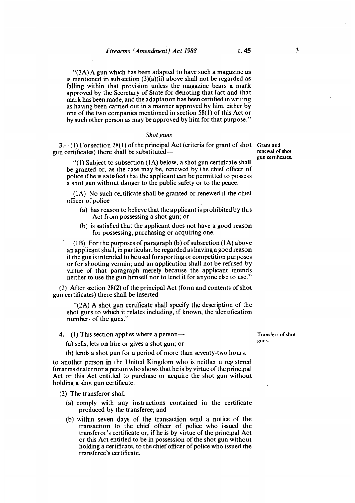"(3A) A gun which has been adapted to have such a magazine as is mentioned in subsection (3)(a)(ii) above shall not be regarded as falling within that provision unless the magazine bears a mark approved by the Secretary of State for denoting that fact and that mark has been made, and the adaptation has been certified in writing as having been carried out in a manner approved by him, either by one of the two companies mentioned in section 58(1) of this Act or by such other person as may be approved by him for that purpose."

### Shot guns

 $3.$ —(1) For section 28(1) of the principal Act (criteria for grant of shot Grant and renewal of shot criteria for grant of shot renewal of shot gun certificates) there shall be substituted—

"(1) Subject to subsection (1A) below, a shot gun certificate shall be granted or, as the case may be, renewed by the chief officer of police if he is satisfied that the applicant can be permitted to possess a shot gun without danger to the public safety or to the peace.

(IA) No such certificate shall be granted or renewed if the chief officer of police—

- (a) has reason to believe that the applicant is prohibited by this Act from possessing a shot gun; or
- (b) is satisfied that the applicant does not have a good reason for possessing, purchasing or acquiring one.

(1B) For the purposes of paragraph (b) of subsection  $(1A)$  above an applicant shall, in particular, be regarded as having a good reason if the gun is intended to be used for sporting or competition purposes or for shooting vermin; and an application shall not be refused by virtue of that paragraph merely because the applicant intends neither to use the gun himself nor to lend it for anyone else to use."

(2) After section 28(2) of the principal Act (form and contents of shot gun certificates) there shall be inserted—

"(2A) A shot gun certificate shall specify the description of the shot guns to which it relates including, if known, the identification numbers of the guns.'

4.—(1) This section applies where a person— Transfers of shot

(a) sells, lets on hire or gives a shot gun; or

(b) lends a shot gun for a period of more than seventy-two hours,

to another person in the United Kingdom who is neither a registered firearms dealer nor a person who shows that he is by virtue of the principal Act or this Act entitled to purchase or acquire the shot gun without holding a shot gun certificate.

- (2) The transferor shall—
	- (a) comply with any instructions contained in the certificate produced by the transferee; and
	- (b) within seven days of the transaction send a notice of the transaction to the chief officer of police who issued the transferor's certificate or, if he is by virtue of the principal Act or this Act entitled to be in possession of the shot gun without holding a certificate, to the chief officer of police who issued the transferee's certificate.

guns.

gun certificates.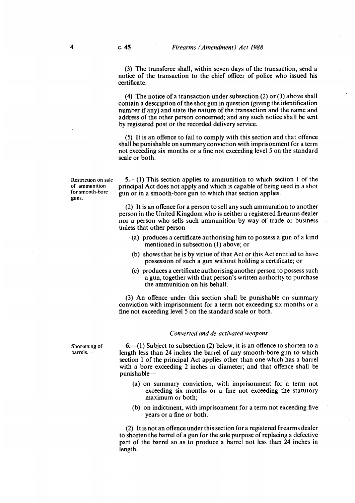(3) The transferee shall, within seven days of the transaction, send a notice of the transaction to the chief officer of police who issued his certificate.

(4) The notice of a transaction under subsection (2) or (3) above shall contain a description of the shot gun in question (giving the identification number if any) and state the nature of the transaction and the name and address of the other person concerned; and any such notice shall be sent by registered post or the recorded delivery service.

(5) It is an offence to fail to comply with this section and that offence shall be punishable on summary conviction with imprisonment for a term not exceeding six months or a fine not exceeding level 5 on the standard scale or both.

guns.

Restriction on sale  $5.-(1)$  This section applies to ammunition to which section 1 of the of ammunition principal Act does not apply and which is capable of being used in a shot of ammunition principal Act does not apply and which is capable of being used in a shot<br>for smooth-bore que or in a smooth-bore gun to which that section applies gun or in a smooth-bore gun to which that section applies.

> (2) It is an offence for a person to sell any such ammunition to another person in the United Kingdom who is neither a registered firearms dealer nor a person who sells such ammunition by way of trade or business unless that other person—

- (a) produces a certificate authorising him to possess a gun of a kind mentioned in subsection (I) above; or
- (b) shows that he is by virtue of that Act or this Act entitled to have possession of such a gun without holding a certificate; or
- (c) produces a certificate authorising another person to possess such a gun, together with that person's written authority to purchase the ammunition on his behalf.

(3) An offence under this section shall be punishable on summary conviction with imprisonment for a term not exceeding six months or a fine not exceeding level 5 on the standard scale or both.

### Converted and de-activated weapons

Shortening of  $\begin{array}{c} 6 \\ -1 \end{array}$  Subject to subsection (2) below, it is an offence to shorten to a barrels. length less than 24 inches the barrel of any smooth-bore gun to which section 1 of the principal Act applies other than one which has a barrel with a bore exceeding 2 inches in diameter; and that offence shall be punishable—

- (a) on summary conviction, with imprisonment for a term not exceeding six months or a fine not exceeding the statutory maximum or both;
- (b) on indictment, with imprisonment for a term not exceeding five years or a fine or both.

(2) It is not an offence under this section for a registered firearms dealer to shorten the barrel of a gun for the sole purpose of replacing a defective part of the barrel so as to produce a barrel not less than 24 inches in length.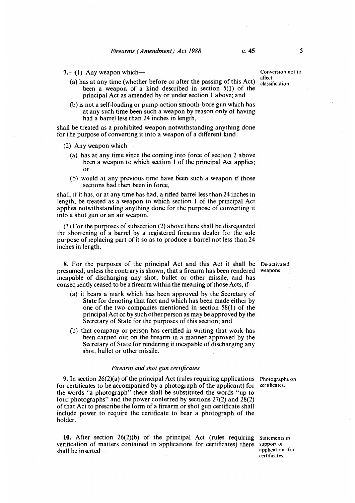# $7.$ —(1) Any weapon which— $\overline{a}$

- (a) has at any time (whether before or after the passing of this Act) been a weapon of a kind described in section 5(1) of the principal Act as amended by or under section 1 above; and
- (b) is not a self-loading or pump-action smooth-bore gun which has at any such time been such a weapon by reason only of having had a barrel less than 24 inches in length,

shall be treated as a prohibited weapon notwithstanding anything done for the purpose of converting it into a weapon of a different kind.

(2) Any weapon which—

- (a) has at any time since the coming into force of section 2 above been a weapon to which section 1 of the principal Act applies; or
- (b) would at any previous time have been such a weapon if those sections had then been in force,

shall, if it has, or at any time has had, a rifled barrel less than 24 inches in length, be treated as a weapon to which section 1 of the principal Act applies notwithstanding anything done for the purpose of converting it into a shot gun or an air weapon.

(3) For the purposes of subsection (2) above there shall be disregarded the shortening of a barrel by a registered firearms dealer for the sole purpose of replacing part of it so as to produce a barrel not less than 24 inches in length.

8. For the purposes of the principal Act and this Act it shall be De-activated resumed unless the contrary is shown that a firearm has been rendered weapons. presumed, unless the contrary is shown, that a firearm has been rendered incapable of discharging any shot, bullet or other missile, and has consequently ceased to be a firearm within the meaning of those Acts, if—

- (a) it bears a mark which has been approved by the Secretary of State for denoting that fact and which has been made either by one of the two companies mentioned in section 58(1) of the principal Act or by such other person as may be approved by the Secretary of State for the purposes of this section; and
- (b) that company or person has certified in writing that work has been carried out on the firearm in a manner approved by the Secretary of State for rendering it incapable of discharging any shot, bullet or other missile.

### Firearm and shot gun certificates

9. In section  $26(2)(a)$  of the principal Act (rules requiring applications Photographs on for certificates to be accompanied by a photograph of the applicant) for certificates. the words "a photograph" there shall be substituted the words "up to four photographs" and the power conferred by sections 27(2) and 28(2) of that Act to prescribe the form of a firearm or shot gun certificate shall include power to require the certificate to bear a photograph of the holder.

10. After section 26(2)(b) of the principal Act (rules requiring Statements in verification of matters contained in applications for certificates) there support of<br>shall be inserted—<br>applications for shall be inserted—

certificates.

classification.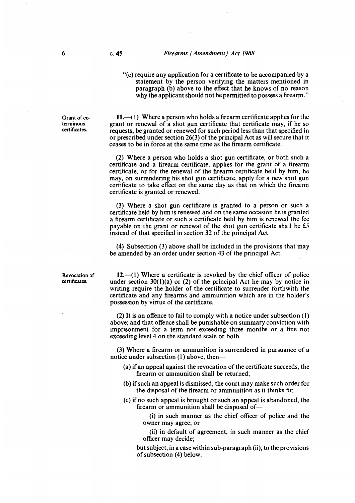### 6 c. 45 Firearms (Amendment) Act 1988

"(c) require any application for a certificate to be accompanied by a statement by the person verifying the matters mentioned in paragraph (b) above to the effect that he knows of no reason why the applicant should not be permitted to possess a firearm."

Grant of co- **I1.—(1)** Where a person who holds a firearm certificate applies for the terminous grant or renewal of a shot gun certificate that certificate may, if he so terminous grant or renewal of a shot gun certificate that certificate may, if he so<br>certificates. requests, be granted or renewed for such period less than that specified in or prescribed under section 26(3) of the principal Act as will secure that it ceases to be in force at the same time as the firearm certificate.

> (2) Where a person who holds a shot gun certificate, or both such a certificate and a firearm certificate, applies for the grant of a firearm certificate, or for the renewal of the firearm certificate held by him, he may, on surrendering his shot gun certificate, apply for a new shot gun certificate to take effect on the same day as that on which the firearm certificate is granted or renewed.

> (3) Where a shot gun certificate is granted to a person or such a certificate held by him is renewed and on the same occasion he is granted a firearm certificate or such a certificate held by him is renewed the fee payable on the grant or renewal of the shot gun certificate shall be £5 instead of that specified in section 32 of the principal Act.

> (4) Subsection (3) above shall be included in the provisions that may be amended by an order under section 43 of the principal Act.

Revocation of 12.—(1) Where a certificate is revoked by the chief officer of police ertificates. under section 30(1)(a) or (2) of the principal Act be may by notice in under section 30(1)(a) or (2) of the principal Act he may by notice in writing require the holder of the certificate to surrender forthwith the certificate and any firearms and ammunition which are in the holder's possession by virtue of the certificate;

> (2) It is an offence to fail to comply with a notice under subsection  $(1)$ above; and that offence shall be punishable on summary conviction with imprisonment for a term not exceeding three months or a fine not exceeding level 4 on the standard scale or both.

> (3) Where a firearm or ammunition is surrendered in pursuance of a notice under subsection (I) above, then—

- (a) if an appeal against the revocation of the certificate succeeds, the firearm or ammunition shall be returned;
- (b) if such an appeal is dismissed, the court may make such order for the disposal of the firearm or ammunition as it thinks fit;
- (c) if no such appeal is brought or such an appeal is abandoned, the firearm or ammunition shall be disposed of—
	- (i) in such manner as the chief officer of police and the owner may agree; or

(ii) in default of agreement, in such manner as the chief officer may decide;

but subject, in a case within sub-paragraph (ii), to the provisions of subsection (4) below.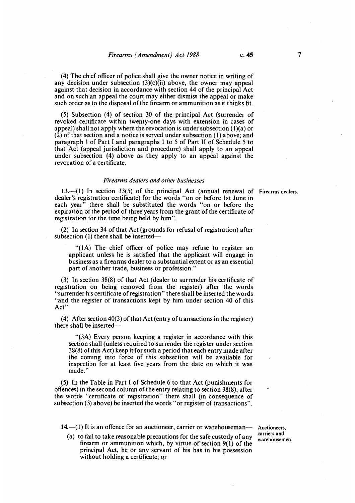(4) The chief officer of police shall give the owner notice in writing of any decision under subsection (3)(c)(ii) above, the owner may appeal against that decision in accordance with section 44 of the principal Act and on such an appeal the court may either dismiss the appeal or make such order as to the disposal of the firearm or ammunition as it thinks fit.

(5) Subsection (4) of section 30 of the principal Act (surrender of revoked certificate within twenty-one days with extension in cases of appeal) shall not apply where the revocation is under subsection  $(1)(a)$  or (2) of that section and a notice is served under subsection (1) above; and paragraph 1 of Part I and paragraphs 1 to 5 of Part II of Schedule 5 to that Act (appeal jurisdiction and procedure) shall apply to an appeal under subsection (4) above as they apply to an appeal against the revocation of a certificate.

### Firearms dealers and other businesses

13.-—(l) In section 33(5) of the principal Act (annual renewal of Firearms dealers. dealer's registration certificate) for the words "on or before 1st June in each year" there shall be substituted the words "on or before the expiration of the period of three years from the grant of the certificate of registration for the time being held by him".

(2) In section 34 of that Act (grounds for refusal of registration) after subsection (1) there shall be inserted—

"(IA) The chief officer of police may refuse to register an applicant unless he is satisfied that the applicant will engage in business as a firearms dealer to a substantial extent or as an essential part of another trade, business or profession."

(3) In section 38(8) of that Act (dealer to surrender his certificate of registration on being removed from the register) after the words "surrender his certificate of registration" there shall be inserted the words "and the register of transactions kept by him under section 40 of this Act".

(4) After section 40(3) of that Act (entry of transactions in the register) there shall be inserted—

"(3A) Every person keeping a register in accordance with this section shall (unless required to surrender the register under section 38(8) of this Act) keep it for such a period that each entry made after the coming into force of this subsection will be available for inspection for at least five years from the date on which it was made."

(5) In the Table in Part I of Schedule 6 to that Act (punishments for offences) in the second column of the entry relating to section 38(8), after the words "certificate of registration" there shall (in consequence of subsection (3) above) be inserted the words "or register of transactions".

14.—(1) It is an offence for an auctioneer, carrier or warehouseman— Auctioneers,<br>(a) to fail to take gases well approaching family as fact that for carriers and

(a) to fail to take reasonable precautions for the safe custody of any warehousemen.<br>firearm or ammunition which, by virtue of section  $9(1)$  of the principal Act, he or any servant of his has in his possession without holding a certificate; or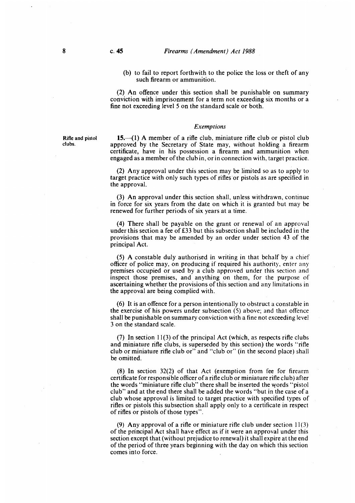(b) to fail to report forthwith to the police the loss or theft of any such firearm or ammunition.

(2) An offence under this section shall be punishable on summary conviction with imprisonment for a term not exceeding six months or a fine not exceeding level 5 on the standard scale or both.

#### Exemptions

Rifle and pistol  $15-1$  A member of a rifle club, miniature rifle club or pistol club clubs. approved by the Secretary of State may, without holding a firearm certificate, have in his possession a firearm and ammunition when engaged as a member of the club in, or in connection with, target practice.

> (2) Any approval under this section may be limited so as to apply to target practice with only such types of rifles or pistols as are specified in the approval.

> (3) An approval under this section shall, unless withdrawn, continue in force for six years from the date on which it is granted but may be renewed for further periods of six years at a time.

> (4) There shall be payable on the grant or renewal of an approval under this section a fee of £33 but this subsection shall be included in the provisions that may be amended by an order under section 43 of the principal Act.

> (5) A constable duly authorised in writing in that behalf by a chief officer of police may, on producing if required his authority, enter any premises occupied or used by a club approved under this section and inspect those premises, and anything on them, for the purpose of ascertaining whether the provisions of this section and any limitations in the approval are being complied with.

> (6) It is an offence for a person intentionally to obstruct a constable in the exercise of his powers under subsection (5) above, and that offence shall be punishable on summary conviction with a fine not exceeding level <sup>3</sup>on the standard scale.

> (7) In section 11(3) of the principal Act (which, as respects rifle clubs and miniature rifle clubs, is superseded by this section) the words "rifle club or miniature rifle club or" and "club or" (in the second place) shall be omitted.

> (8) In section 32(2) of that Act (exemption from fee for firearm certificate for responsible officer of a rifle club or miniature rifle club) after the words "miniature rifle club" there shall be inserted the words "pistol club" and at the end there shall be added the words "but in the case of <sup>a</sup> club whose approval is limited to target practice with specified types of rifles or pistols this subsection shall apply only to a certificate in respect of rifles or pistols of those types".

> (9) Any approval of a rifle or miniature rifle club under section  $11(3)$ of the principal Act shall have effect as if it were an approval under this section except that (without prejudice to renewal) it shall expire at the end of the period of three years beginning with the day on which this section comes into force.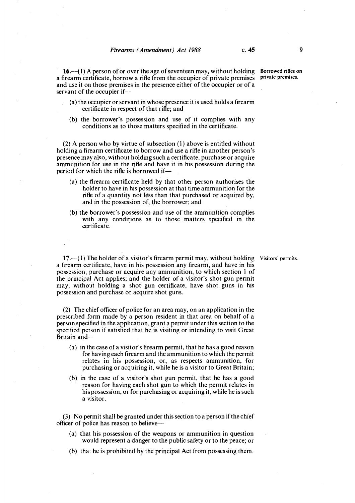16.—(1) A person of or over the age of seventeen may, without holding Borrowed rifles on<br>firearm certificate borrow a rifle from the occupier of private premises private premises. a firearm certificate, borrow a rifle from the occupier of private premises. and use it on those premises in the presence either of the occupier or of a servant of the occupier if—

- (a) the occupier or servant in whose presence it is used holds a firearm certificate in respect of that rifle; and
- (b) the borrower's possession and use of it complies with any conditions as to those matters specified in the certificate.

(2) A person who by virtue of subsection (1) above is entitled without holding a firearm certificate to borrow and use a rifle in another person's presence may also, without holding such a certificate, purchase or acquire ammunition for use in the rifle and have it in his possession during the period for which the rifle is borrowed if—

- (a) the firearm certificate held by that other person authorises the holder to have in his possession at that time ammunition for the rifle of a quantity not less than that purchased or acquired by, and in the possession of, the borrower; and
- (b) the borrower's possession and use of the ammunition complies with any conditions as to those matters specified in the certificate.

 $17.$ —(1) The holder of a visitor's firearm permit may, without holding Visitors' permits. <sup>a</sup>firearm certificate, have in his possession any firearm, and have in his possession, purchase or acquire any ammunition, to which section 1 of the principal Act applies; and the holder of a visitor's shot gun permit may, without holding a shot gun certificate, have shot guns in his possession and purchase or acquire shot guns.

(2) The chief officer of police for an area may, on an application in the prescribed form made by a person resident in that area on behalf of a person specified in the application, grant a permit under this section to the specified person if satisfied that he is visiting or intending to visit Great Britain and—

- (a) in the case of a visitor's firearm permit, that he has a good reason for having each firearm and the ammunition to which the permit relates in his possession, or, as respects ammunition, for purchasing or acquiring it, while he is a visitor to Great Britain;
- (b) in the case of a visitor's shot gun permit, that he has a good reason for having each shot gun to which the permit relates in his possession, or for purchasing or acquiring it, while he is such a visitor.

(3) No permit shall be granted under this section to a person if the chief officer of police has reason to believe—

- (a) that his possession of the weapons or ammunition in question would represent a danger to the public safety or to the peace; or
- (b) that he is prohibited by the principal Act from possessing them.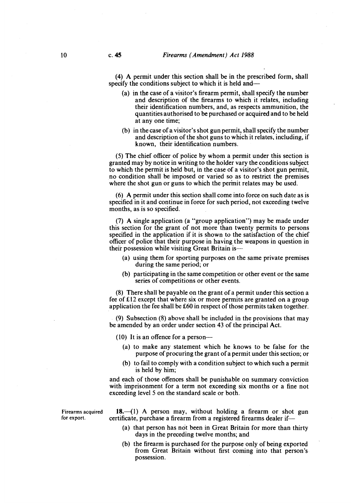### 10 c. 45 Firearms (Amendment) Act 1988

(4) A permit under this section shall be in the prescribed form, shall specify the conditions subject to which it is held and—

- (a) in the case of a visitor's firearm permit, shall specify the number and description of the firearms to which it relates, including their identification numbers, and, as respects ammunition, the quantities authorised to be purchased or acquired and to be held at any one time;
- (b) in the case of a visitor's shot gun permit, shall specify the number and description of the shot guns to which it relates, including, if known, their identification numbers.

(5) The chief officer of police by whom a permit under this section is granted may by notice in writing to the holder vary the conditions subject to which the permit is held but, in the case of a visitor's shot gun permit, no condition shall be imposed or varied so as to restrict the premises where the shot gun or guns to which the permit relates may be used.

(6) A permit under this section shall come into force on such date as is specified in it and continue in force for such period, not exceeding twelve months, as is so specified.

(7) A single application (a "group application") may be made under this section for the grant of not more than twenty permits to persons specified in the application if it is shown to the satisfaction of the chief officer of police that their purpose in having the weapons in question in their possession while visiting Great Britain is—

- (a) using them for sporting purposes on the same private premises during the same period; or
- (b) participating in the same competition or other event or the same series of competitions or other events.

(8) There shall be payable on the grant of a permit under this section a fee of £12 except that where six or more permits are granted on a group application the fee shall be £60 in respect of those permits taken together.

(9) Subsection (8) above shall be included in the provisions that may be amended by an order under section 43 of the principal Act.

(10) It is an offence for a person—

- (a) to make any statement which he knows to be false for the purpose of procuring the grant of a permit under this section; or
- (b) to fail to comply with a condition subject to which such a permit is held by him;

and each of those offences shall be punishable on summary Conviction with imprisonment for a term not exceeding six months or a fine not exceeding level 5 on the standard scale or both.

Firearms acquired **18.—(1)** A person may, without holding a firearm or shot gun for export. certificate purchase a firearm from a registered firearms dealer if certificate, purchase a firearm from a registered firearms dealer if—

- (a) that person has not been in Great Britain for more than thirty days in the preceding twelve months; and
- (b) the firearm is purchased for the purpose only of being exported from Great Britain without first coming into that person's possession.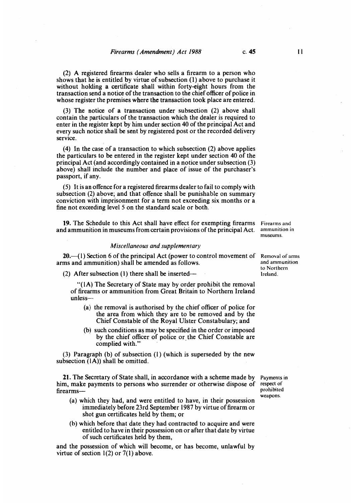(2) A registered firearms dealer who sells a firearm to a person who shows that he is entitled by virtue of subsection (1) above to purchase it without holding a certificate shall within forty-eight hours from the transaction send a notice of the transaction to the chief officer of police in whose register the premises where the transaction took place are entered.

(3) The notice of a transaction under subsection (2) above shall contain the particulars of the transaction which the dealer is required to enter in the register kept by him under section 40 of the principal Act and every such notice shall be sent by registered post or the recorded delivery service.

(4) In the case of a transaction to which subsection (2) above applies the particulars to be entered in the register kept under section 40 of the principal Act (and accordingly contained in a notice under subsection (3) above) shall include the number and place of issue of the purchaser's passport, if any.

(5) It is an offence for a registered firearms dealer to fail to comply with subsection (2) above; and that offence shall be punishable on summary conviction with imprisonment for a term not exceeding six months or a fine not exceeding level 5 on the standard scale or both.

19. The Schedule to this Act shall have effect for exempting firearms Firearms and<br>Internation in museums from certain provisions of the principal Act. ammunition in and ammunition in museums from certain provisions of the principal Act.

### Miscellaneous and supplementary

 $20.$ —(1) Section 6 of the principal Act (power to control movement of Removal of arms and ammunition) shall be amended as follows and ammunition arms and ammunition) shall be amended as follows.

(2) After subsection  $(1)$  there shall be inserted—

"(1A) The Secretary of State may by order prohibit the removal of firearms or ammunition from Great Britain to Northern Ireland unless—

- (a) the removal is authorised by the chief officer of police for the area from which they are to be removed and by the Chief Constable of the Royal Ulster Constabulary; and
- (b) such conditions as may be specified in the order or imposed by the chief officer of police or the Chief Constable are complied with."

(3) Paragraph (b) of subsection (1) (which is superseded by the new subsection  $(1A)$ ) shall be omitted.

21. The Secretary of State shall, in accordance with a scheme made by Payments in m. make nayments to persons who surrender or otherwise dispose of respect of him, make payments to persons who surrender or otherwise dispose of respect of frearms—<br>prohibited firearms— prohibited prohibited

- (a) which they had, and were entitled to have, in their possession immediately before 23rd September 1987 by virtue of firearm or shot gun certificates held by them; or
- (b) which before that date they had contracted to acquire and were entitled to have in their possession on or after that date by virtue of such certificates held by them,

and the possession of which will become, or has become, unlawful by virtue of section  $1(2)$  or  $7(1)$  above.

weapons.

museums.

to Northern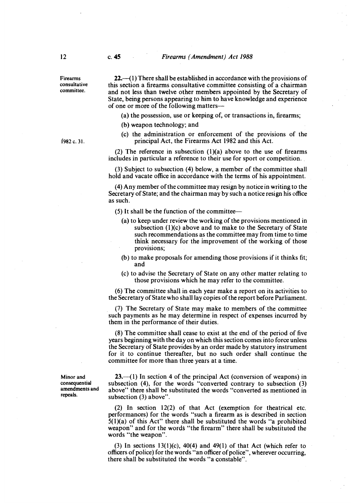Firearms 22.—(1) There shall be established in accordance with the provisions of consultative  $\frac{22}{100}$  this section a firearms consultative committee consisting of a chairman consultative this section a firearms consultative committee consisting of a chairman<br>committee. and not less than twelve other members appointed by the Secretary of and not less than twelve other members appointed by the Secretary of State, being persons appearing to him to have knowledge and experience of one or more of the following matters—

(a) the possession, use or keeping of, or transactions in, firearms;

- (b) weapon technology; and
- (c) the administration or enforcement of the provisions of the (982 c. 31. principal Act, the Firearms Act 1982 and this Act.

(2) The reference in subsection  $(1)(a)$  above to the use of firearms includes in particular a reference to their use for sport or competition.

(3) Subject to subsection (4) below, a member of the committee shall hold and vacate office in accordance with the terms of his appointment.

(4) Any member of the committee may resign by notice in writing to the Secretary of State; and the chairman may by such a notice resign his office as such.

(5) It shall be the function of the committee—

- (a) to keep under review the working of the provisions mentioned in subsection (1)(c) above and to make to the Secretary of State such recommendations as the committee may from time to time think necessary for the improvement of the working of those provisions;
- (b) to make proposals for amending those provisions if it thinks fit; and
- (c) to advise the Secretary of State on any other matter relating to those provisions which he may refer to the committee.

(6) The committee shall in each year make a report on its activities to the Secretary of State who shall lay copies of the report before Parliament.

(7) The Secretary of State may make to members of the committee such payments as he may determine in respect of expenses incurred by them in the performance of their duties.

(8) The committee shall cease to exist at the end of the period of five years beginning with the day on which this section comes into force unless the Secretary of State provides by an order made by statutory instrument for it to continue thereafter, but no such order shall continue the committee for more than three years at a time.

Minor and 23.—(1) In section 4 of the principal Act (conversion of weapons) in consequential subsection  $(4)$ . for the words "converted contrary to subsection  $(3)$ consequential subsection (4), for the words "converted contrary to subsection  $(3)$ <br>amendments and above" there shall be substituted the words "converted as mentioned in amendments and above" there shall be substituted the words "converted as mentioned in repeals.<br>subsection (3) above".

> (2) In section 12(2) of that Act (exemption for theatrical etc. performances) for the words "such a firearm as is described in section  $5(1)(a)$  of this Act" there shall be substituted the words "a prohibited" weapon" and for the words "the firearm" there shall be substituted the words "the weapon".

> (3) In sections  $13(1)(c)$ ,  $40(4)$  and  $49(1)$  of that Act (which refer to officers of police) for the words "an officer of police", wherever occurring, there shall be substituted the words "a constable".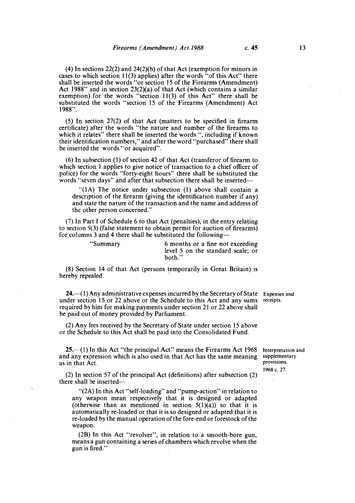(4) In sections 22(2) and 24(2)(b) of that Act (exemption for minors in cases to which section 11(3) applies) after the words "of this Act" there shall be inserted the words "or section 15 of the Firearms (Amendment) Act 1988" and in section 23(2)(a) of that Act (which contains a similar exemption) for the words "section 11(3) of this Act" there shall be substituted the words "section 15 of the Firearms (Amendment) Act 1988".

(5) In section 27(2) of that Act (matters to be specified in firearm certificate) after the words "the nature and number of the firearms to which it relates" there shall be inserted the words ", including if known their identification numbers," and after the word "purchased" there shall be inserted the words "or acquired".

(6) In subsection (1) of section 42 of that Act (transferor of firearm to which section 1 applies to give notice of transaction to a chief officer of police) for the words "forty-eight hours" there shall be substituted the words "seven days" and after that subsection there shall be inserted—

"(IA) The notice under subsection (1) above shall contain a description of the firearm (giving the identification number if any) and state the nature of the transaction and the name and address of the other person concerned."

(7) In Part I of Schedule 6 to that Act (penalties), in the entry relating to section 9(3) (false statement to obtain permit for auction of firearms) for columns 3 and 4 there shall be substituted the following-

"Summary 6 months or a fine not exceeding level 5 on the standard scale; or both."

(8) Section 14 of that Act (persons temporarily in Great Britain) is hereby repealed.

 $24$ —(1) Any administrative expenses incurred by the Secretary of State Expenses and under section 15 or 22 above or the Schedule to this Act and any sums receipts. required by him for making payments under section 21 or 22 above shall be paid out of money provided by Parliament.

(2) Any fees received by the Secretary of State under section 15 above or the Schedule to this Act shall be paid into the Consolidated Fund.

25.—(1) In this Act "the principal Act" means the Firearms Act 1968 Interpretation and and any expression which is also used in that Act has the same meaning supplementary<br>as in that Act<br>provisions. as in that Act.

(2) In section 57 of the principal Act (definitions) after subsection (2) there shall be inserted—

"(2A) In this Act "self-loading" and "pump-action" in relation to any weapon mean respectively that it is designed or adapted (otherwise than as mentioned in section  $5(1)(a)$ ) so that it is automatically re-loaded or that it is so designed or adapted that it is re-loaded by the manual operation of the fore-end or forestock of the weapon.

(2B) In this Act "revolver", in relation to a smooth-bore gun, means a gun containing a series of chambers which revolve when the gun is fired."

1968 c.27.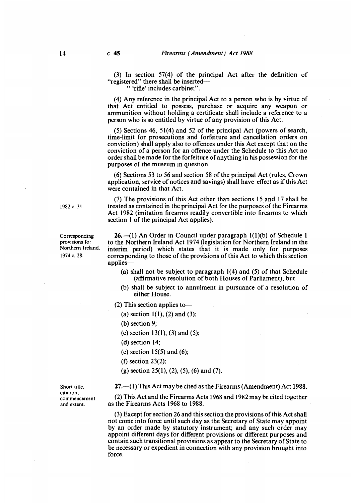(3) In section 57(4) of the principal Act after the definition of "registered" there shall be inserted—

"'rifle' includes carbine;".

(4) Any reference in the principal Act to a person who is by virtue of that Act entitled to possess, purchase or acquire any weapon or ammunition without holding a certificate shall include a reference to a person who is so entitled by virtue of any provision of this Act.

 $(5)$  Sections 46, 51(4) and 52 of the principal Act (powers of search, time-limit for prosecutions and forfeiture and cancellation orders on conviction) shall apply also to offences under this Act except that on the conviction of a person for an offence under the Schedule to this Act no order shall be made for the forfeiture of anything in his possession for the purposes of the museum in question.

 $(6)$  Sections 53 to 56 and section 58 of the principal Act (rules, Crown application, service of notices and savings) shall have effect as if this Act were contained in that Act.

(7) The provisions of this Act other than sections 15 and 17 shall be <sup>1982</sup>c. 31. treated as contained in the principal Act for the purposes of the Firearms Act 1982 (imitation firearms readily convertible into firearms to which section 1 of the principal Act applies).

Corresponding 26.—(1) An Order in Council under paragraph 1(1)(b) of Schedule 1 provisions for to the Northern Ireland Act 1974 (legislation for Northern Ireland in the provisions for to the Northern Ireland Act 1974 (legislation for Northern Ireland in the Northern Ireland. interim period) which states that it is made only for nurposes Northern Ireland. interim period) which states that it is made only for purposes<br>1974 c. 28. corresponding to those of the provisions of this Act to which this section corresponding to those of the provisions of this Act to which this section applies—

- (a) shall not be subject to paragraph 1(4) and (5) of that Schedule (affirmative resolution of both Houses of Parliament); but
- (b) shall be subject to annulment in pursuance of a resolution of either House.
- (2) This section applies to—
	- (a) section  $1(1)$ , (2) and (3);
	- (b) section 9;
	- (c) section 13(1), (3) and (5);
	- (d) section 14;
	- (e) section  $15(5)$  and  $(6)$ ;
	- (f) section 23(2);
	- (g) section 25(1), (2), (5), (6) and (7).

Short title, 27.—(1) This Act may be cited as the Firearms (Amendment) Act 1988.<br>citation.

(2) This Act and the Firearms Acts 1968 and 1982 may be cited together  $\text{comment}$  (2) I his Act and the Firearms Accanote and extent. as the Firearms Acts 1968 to 1988.

> (3) Except for section 26 and this section the provisions of this Act shall not come into force until such day as the Secretary of State may appoint by an order made by statutory instrument; and any such order may appoint different days for different provisions or different purposes and contain such transitional provisions as appear to the Secretary of State to be necessary or expedient in connection with any provision brought into force.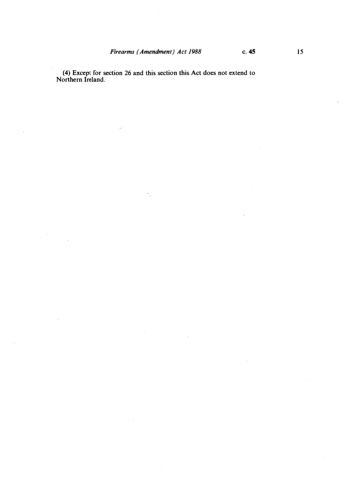(4) Except for section 26 and this section this Act does not extend to Northern Ireland.

 $\frac{1}{2}$ 

 $\bar{z}$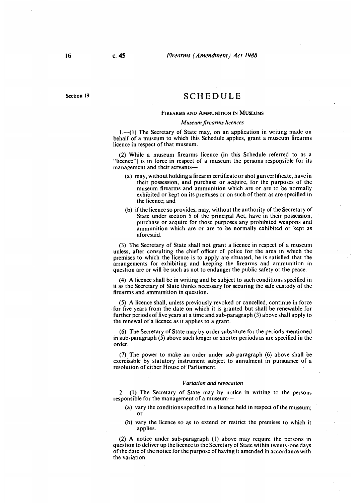# Section 19. SCHEDULE

### FIREARMS AND AMMUNITION IN MUSEUMS

#### Museum firearms licences

<sup>I</sup>.—( 1) The Secretary of State may, on an application in writing made on behalf of a museum to which this Schedule applies, grant a museum firearms licence in respect of that museum.

(2) While a museum firearms licence (in this Schedule referred to as a "licence") is in force in respect of a museum the persons responsible for its management and their servants—

- (a) may, without holding a firearm certificate or shot gun certificate, have in their possession, and purchase or acquire, for the purposes of the museum firearms and ammunition which are or are to be normally exhibited or kept on its premises or on such of them as are specified in the licence; and
- (b) if the licence so provides, may, without the authority of the Secretary of State under section 5 of the principal Act, have in their possession, purchase or acquire for those purposes any prohibited weapons and ammunition which are or are to be normally exhibited or kept as aforesaid.

(3) The Secretary of State shall not grant a licence in respect of a museum unless, after consulting the chief officer of police for the area in which the premises to which the licence is to apply are situated, he is satisfied that the arrangements for exhibiting and keeping the firearms and ammunition in question are or will be such as not to endanger the public safety or the peace.

(4) A licence shall be in writing and be subject to such conditions specified in it as the Secretary of State thinks necessary for securing the safe custody of the firearms and ammunition in question.

(5) A licence shall, unless previously revoked or cancelled, continue in force for five years from the date on which it is granted but shall be renewable for further periods of five years at a time and sub-paragraph (3) above shall apply to the renewal of a licence as it applies to a grant.

(6) The Secretary of State may by order substitute for the periods mentioned in sub-paragraph (5) above such longer or shorter periods as are specified in the order.

(7) The power to make an order under sub-paragraph (6) above shall be exercisable by statutory instrument subject to annulment in pursuance of a resolution of either House of Parliament.

#### Variation and revocation

 $2-1$ ) The Secretary of State may by notice in writing to the persons responsible for the management of a museum—

- (a) vary the conditions specified in a licence held in respect of the museum; or
- (b) vary the licence so as to extend or restrict the premises to which it applies.

(2) A notice under sub-paragraph (I) above may require the persons in question to deliver up the licence to the Secretary of State within twenty-one days of the date of the notice for the purpose of having it amended in accordance with the variation.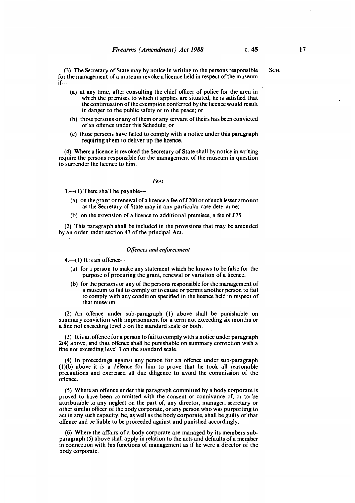(3) The Secretary of State may by notice in writing to the persons responsible ScH. for the management of a museum revoke a licence held in respect of the museum if—

- (a) at any time, after consulting the chief officer of police for the area in which the premises to which it applies are situated, he is satisfied that the continuation of the exemption conferred by the licence would result in danger to the public safety or to the peace; or
- (b) those persons or any of them or any servant of theirs has been convicted of an offence under this Schedule; or
- (c) those persons have failed to comply with a notice under this paragraph requiring them to deliver up the licence.

(4) Where a licence is revoked the Secretary of State shall by notice in writing require the persons responsible for the management of the museum in question to surrender the licence to him.

### Fees

3.—(l) There shall be payable—

- (a) on the grant or renewal of a licence a fee of £200 or of such lesser amount as the Secretary of State may in any particular case determine;
- (b) on the extension of a licence to additional premises, a fee of £75.

(2) This paragraph shall be included in the provisions that may be amended by an order under section 43 of the principal Act.

#### Offences and enforcement

 $4.$  (1) It is an offence-

- (a) for a person to make any statement which he knows to be false for the purpose of procuring the grant, renewal or variation of a licence;
- (b) for the persons or any of the persons responsible for the management of a museum to fail to comply or to cause or permit another person to fail to comply with any condition specified in the licence held in respect of that museum.

(2) An offence under sub-paragraph (I) above shall be punishable on summary conviction with imprisonment for a term not exceeding six months or a fine not exceeding level 5 on the standard scale or both.

(3) It is an offence for a person to fail to comply with a notice under paragraph 2(4) above; and that offence shall be punishable on summary conviction with a fine not exceeding level 3 on the standard scale.

(4) In proceedings against any person for an offence under sub-paragraph  $(1)(b)$  above it is a defence for him to prove that he took all reasonable precautions and exercised all due diligence to avoid the commission of the offence.

(5) Where an offence under this paragraph committed by a body corporate is proved to have been committed with the consent or connivance of, or to be attributable to any neglect on the part of, any director, manager, secretary or other similar officer of the body corporate, or any person who was purporting to act in any such capacity, he, as well as the body corporate, shall be guilty of that offence and be liable to be proceeded against and punished accordingly.

(6) Where the affairs of a body corporate are managed by its members subparagraph (5) above shall apply in relation to the acts and defaults of a member in connection with his functions of management as if he were a director of the body corporate.